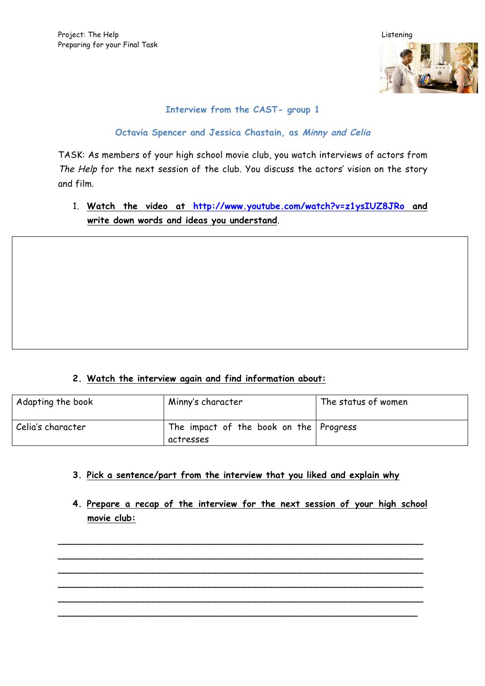

**Octavia Spencer and Jessica Chastain, as Minny and Celia**

TASK: As members of your high school movie club, you watch interviews of actors from The Help for the next session of the club. You discuss the actors' vision on the story and film.

1. **Watch the video at http://www.youtube.com/watch?v=z1ysIUZ8JRo and write down words and ideas you understand**.

#### **2. Watch the interview again and find information about:**

| Adapting the book | Minny's character                      | The status of women |
|-------------------|----------------------------------------|---------------------|
| Celia's character | The impact of the book on the Progress |                     |
|                   | actresses                              |                     |

- **3. Pick a sentence/part from the interview that you liked and explain why**
- **4. Prepare a recap of the interview for the next session of your high school movie club:**

**\_\_\_\_\_\_\_\_\_\_\_\_\_\_\_\_\_\_\_\_\_\_\_\_\_\_\_\_\_\_\_\_\_\_\_\_\_\_\_\_\_\_\_\_\_\_\_\_\_\_\_\_\_\_\_\_\_\_\_\_\_\_\_\_\_ \_\_\_\_\_\_\_\_\_\_\_\_\_\_\_\_\_\_\_\_\_\_\_\_\_\_\_\_\_\_\_\_\_\_\_\_\_\_\_\_\_\_\_\_\_\_\_\_\_\_\_\_\_\_\_\_\_\_\_\_\_\_\_\_\_ \_\_\_\_\_\_\_\_\_\_\_\_\_\_\_\_\_\_\_\_\_\_\_\_\_\_\_\_\_\_\_\_\_\_\_\_\_\_\_\_\_\_\_\_\_\_\_\_\_\_\_\_\_\_\_\_\_\_\_\_\_\_\_\_\_ \_\_\_\_\_\_\_\_\_\_\_\_\_\_\_\_\_\_\_\_\_\_\_\_\_\_\_\_\_\_\_\_\_\_\_\_\_\_\_\_\_\_\_\_\_\_\_\_\_\_\_\_\_\_\_\_\_\_\_\_\_\_\_\_\_ \_\_\_\_\_\_\_\_\_\_\_\_\_\_\_\_\_\_\_\_\_\_\_\_\_\_\_\_\_\_\_\_\_\_\_\_\_\_\_\_\_\_\_\_\_\_\_\_\_\_\_\_\_\_\_\_\_\_\_\_\_\_\_\_\_ \_\_\_\_\_\_\_\_\_\_\_\_\_\_\_\_\_\_\_\_\_\_\_\_\_\_\_\_\_\_\_\_\_\_\_\_\_\_\_\_\_\_\_\_\_\_\_\_\_\_\_\_\_\_\_\_\_\_\_\_\_\_\_\_**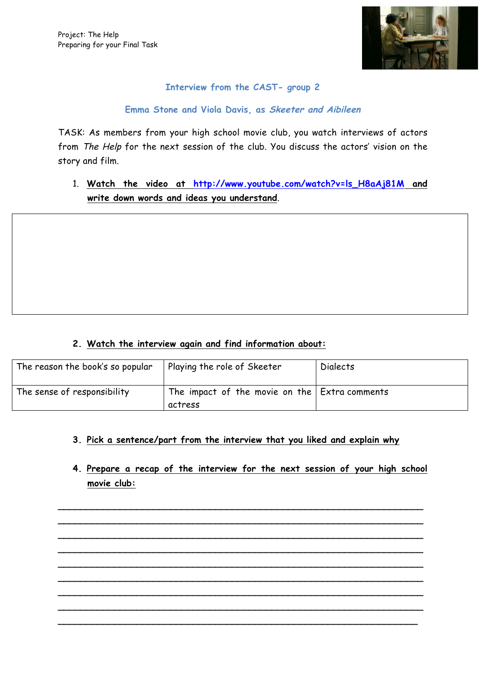

#### **Emma Stone and Viola Davis, as Skeeter and Aibileen**

TASK: As members from your high school movie club, you watch interviews of actors from The Help for the next session of the club. You discuss the actors' vision on the story and film.

1. **Watch the video at http://www.youtube.com/watch?v=ls\_H8aAj81M and write down words and ideas you understand**.

#### **2. Watch the interview again and find information about:**

| The reason the book's so popular | Playing the role of Skeeter                                         | <b>Dialects</b> |
|----------------------------------|---------------------------------------------------------------------|-----------------|
| The sense of responsibility      | The impact of the movie on the $\mathsf{Extra}$ comments<br>actress |                 |

#### **3. Pick a sentence/part from the interview that you liked and explain why**

**4. Prepare a recap of the interview for the next session of your high school movie club:**

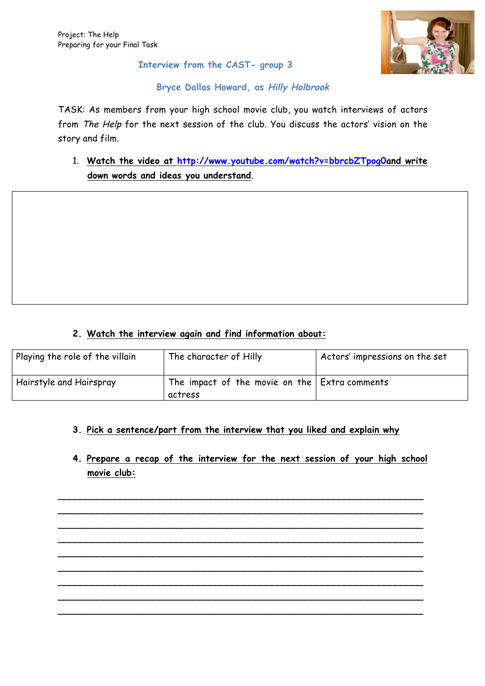

#### **Bryce Dallas Howard, as Hilly Holbrook**

TASK: As members from your high school movie club, you watch interviews of actors from The Help for the next session of the club. You discuss the actors' vision on the story and film.

1. **Watch the video at http://www.youtube.com/watch?v=bbrcbZTpog0and write down words and ideas you understand**.

#### **2. Watch the interview again and find information about:**

| Playing the role of the villain | The character of Hilly                                              | Actors' impressions on the set |
|---------------------------------|---------------------------------------------------------------------|--------------------------------|
| Hairstyle and Hairspray         | The impact of the movie on the $\mathsf{Extra}$ comments<br>actress |                                |

#### **3. Pick a sentence/part from the interview that you liked and explain why**

**4. Prepare a recap of the interview for the next session of your high school movie club:**